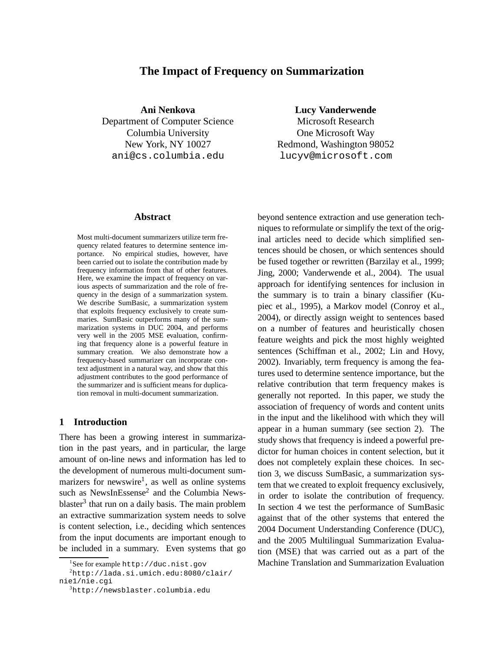# **The Impact of Frequency on Summarization**

**Ani Nenkova** Department of Computer Science Columbia University New York, NY 10027 ani@cs.columbia.edu

### **Abstract**

Most multi-document summarizers utilize term frequency related features to determine sentence importance. No empirical studies, however, have been carried out to isolate the contribution made by frequency information from that of other features. Here, we examine the impact of frequency on various aspects of summarization and the role of frequency in the design of a summarization system. We describe SumBasic, a summarization system that exploits frequency exclusively to create summaries. SumBasic outperforms many of the summarization systems in DUC 2004, and performs very well in the 2005 MSE evaluation, confirming that frequency alone is a powerful feature in summary creation. We also demonstrate how a frequency-based summarizer can incorporate context adjustment in a natural way, and show that this adjustment contributes to the good performance of the summarizer and is sufficient means for duplication removal in multi-document summarization.

## **1 Introduction**

There has been a growing interest in summarization in the past years, and in particular, the large amount of on-line news and information has led to the development of numerous multi-document summarizers for newswire<sup>1</sup>, as well as online systems such as NewsInEssense<sup>2</sup> and the Columbia Newsblaster<sup>3</sup> that run on a daily basis. The main problem an extractive summarization system needs to solve is content selection, i.e., deciding which sentences from the input documents are important enough to be included in a summary. Even systems that go

**Lucy Vanderwende**

Microsoft Research One Microsoft Way Redmond, Washington 98052 lucyv@microsoft.com

beyond sentence extraction and use generation techniques to reformulate or simplify the text of the original articles need to decide which simplified sentences should be chosen, or which sentences should be fused together or rewritten (Barzilay et al., 1999; Jing, 2000; Vanderwende et al., 2004). The usual approach for identifying sentences for inclusion in the summary is to train a binary classifier (Kupiec et al., 1995), a Markov model (Conroy et al., 2004), or directly assign weight to sentences based on a number of features and heuristically chosen feature weights and pick the most highly weighted sentences (Schiffman et al., 2002; Lin and Hovy, 2002). Invariably, term frequency is among the features used to determine sentence importance, but the relative contribution that term frequency makes is generally not reported. In this paper, we study the association of frequency of words and content units in the input and the likelihood with which they will appear in a human summary (see section 2). The study shows that frequency is indeed a powerful predictor for human choices in content selection, but it does not completely explain these choices. In section 3, we discuss SumBasic, a summarization system that we created to exploit frequency exclusively, in order to isolate the contribution of frequency. In section 4 we test the performance of SumBasic against that of the other systems that entered the 2004 Document Understanding Conference (DUC), and the 2005 Multilingual Summarization Evaluation (MSE) that was carried out as a part of the Machine Translation and Summarization Evaluation

<sup>1</sup> See for example http://duc.nist.gov

 $^{2}$ http://lada.si.umich.edu:8080/clair/ nie1/nie.cgi

<sup>3</sup>http://newsblaster.columbia.edu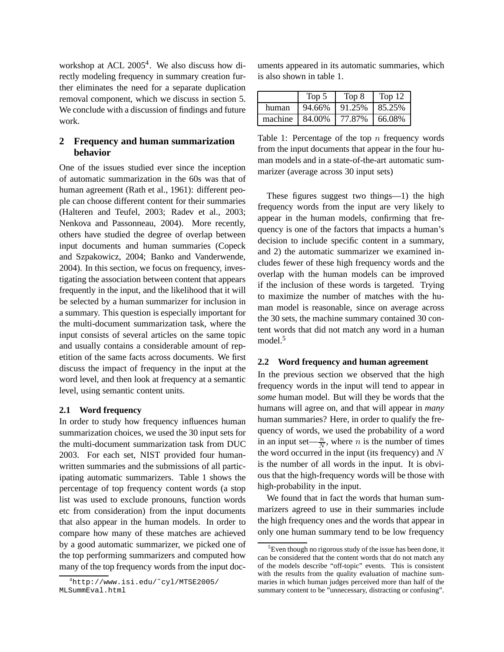workshop at ACL 2005<sup>4</sup>. We also discuss how directly modeling frequency in summary creation further eliminates the need for a separate duplication removal component, which we discuss in section 5. We conclude with a discussion of findings and future work.

# **2 Frequency and human summarization behavior**

One of the issues studied ever since the inception of automatic summarization in the 60s was that of human agreement (Rath et al., 1961): different people can choose different content for their summaries (Halteren and Teufel, 2003; Radev et al., 2003; Nenkova and Passonneau, 2004). More recently, others have studied the degree of overlap between input documents and human summaries (Copeck and Szpakowicz, 2004; Banko and Vanderwende, 2004). In this section, we focus on frequency, investigating the association between content that appears frequently in the input, and the likelihood that it will be selected by a human summarizer for inclusion in a summary. This question is especially important for the multi-document summarization task, where the input consists of several articles on the same topic and usually contains a considerable amount of repetition of the same facts across documents. We first discuss the impact of frequency in the input at the word level, and then look at frequency at a semantic level, using semantic content units.

# **2.1 Word frequency**

In order to study how frequency influences human summarization choices, we used the 30 input sets for the multi-document summarization task from DUC 2003. For each set, NIST provided four humanwritten summaries and the submissions of all participating automatic summarizers. Table 1 shows the percentage of top frequency content words (a stop list was used to exclude pronouns, function words etc from consideration) from the input documents that also appear in the human models. In order to compare how many of these matches are achieved by a good automatic summarizer, we picked one of the top performing summarizers and computed how many of the top frequency words from the input documents appeared in its automatic summaries, which is also shown in table 1.

|         | Top 5  | Top 8  | Top 12 |
|---------|--------|--------|--------|
| human   | 94.66% | 91.25% | 85.25% |
| machine | 84.00% | 77.87% | 66.08% |

Table 1: Percentage of the top  $n$  frequency words from the input documents that appear in the four human models and in a state-of-the-art automatic summarizer (average across 30 input sets)

These figures suggest two things—1) the high frequency words from the input are very likely to appear in the human models, confirming that frequency is one of the factors that impacts a human's decision to include specific content in a summary, and 2) the automatic summarizer we examined includes fewer of these high frequency words and the overlap with the human models can be improved if the inclusion of these words is targeted. Trying to maximize the number of matches with the human model is reasonable, since on average across the 30 sets, the machine summary contained 30 content words that did not match any word in a human model.<sup>5</sup>

## **2.2 Word frequency and human agreement**

In the previous section we observed that the high frequency words in the input will tend to appear in *some* human model. But will they be words that the humans will agree on, and that will appear in *many* human summaries? Here, in order to qualify the frequency of words, we used the probability of a word in an input set— $\frac{n}{N}$ , where *n* is the number of times the word occurred in the input (its frequency) and  $N$ is the number of all words in the input. It is obvious that the high-frequency words will be those with high-probability in the input.

We found that in fact the words that human summarizers agreed to use in their summaries include the high frequency ones and the words that appear in only one human summary tend to be low frequency

<sup>4</sup>http://www.isi.edu/˜cyl/MTSE2005/ MLSummEval.html

<sup>&</sup>lt;sup>5</sup>Even though no rigorous study of the issue has been done, it can be considered that the content words that do not match any of the models describe "off-topic" events. This is consistent with the results from the quality evaluation of machine summaries in which human judges perceived more than half of the summary content to be "unnecessary, distracting or confusing".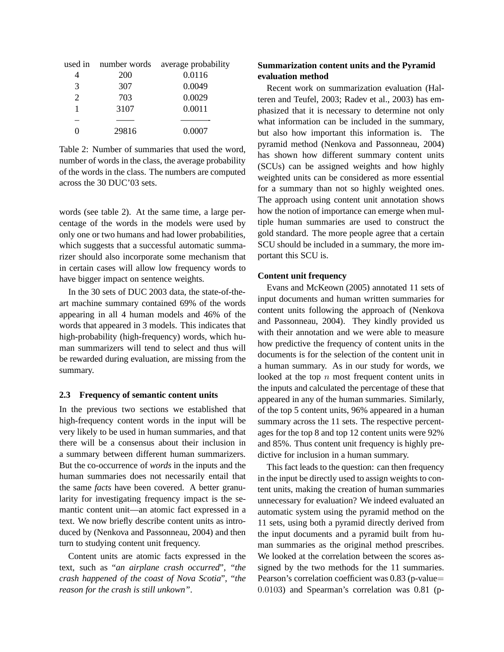|       | used in number words average probability |
|-------|------------------------------------------|
| 200   | 0.0116                                   |
| 307   | 0.0049                                   |
| 703   | 0.0029                                   |
| 3107  | 0.0011                                   |
|       |                                          |
| 29816 | 0.0007                                   |
|       |                                          |

Table 2: Number of summaries that used the word, number of words in the class, the average probability of the words in the class. The numbers are computed across the 30 DUC'03 sets.

words (see table 2). At the same time, a large percentage of the words in the models were used by only one or two humans and had lower probabilities, which suggests that a successful automatic summarizer should also incorporate some mechanism that in certain cases will allow low frequency words to have bigger impact on sentence weights.

In the 30 sets of DUC 2003 data, the state-of-theart machine summary contained 69% of the words appearing in all 4 human models and 46% of the words that appeared in 3 models. This indicates that high-probability (high-frequency) words, which human summarizers will tend to select and thus will be rewarded during evaluation, are missing from the summary.

## **2.3 Frequency of semantic content units**

In the previous two sections we established that high-frequency content words in the input will be very likely to be used in human summaries, and that there will be a consensus about their inclusion in a summary between different human summarizers. But the co-occurrence of *words* in the inputs and the human summaries does not necessarily entail that the same *facts* have been covered. A better granularity for investigating frequency impact is the semantic content unit—an atomic fact expressed in a text. We now briefly describe content units as introduced by (Nenkova and Passonneau, 2004) and then turn to studying content unit frequency.

Content units are atomic facts expressed in the text, such as "*an airplane crash occurred*", "*the crash happened of the coast of Nova Scotia*", "*the reason for the crash is still unkown"*.

# **Summarization content units and the Pyramid evaluation method**

Recent work on summarization evaluation (Halteren and Teufel, 2003; Radev et al., 2003) has emphasized that it is necessary to determine not only what information can be included in the summary, but also how important this information is. The pyramid method (Nenkova and Passonneau, 2004) has shown how different summary content units (SCUs) can be assigned weights and how highly weighted units can be considered as more essential for a summary than not so highly weighted ones. The approach using content unit annotation shows how the notion of importance can emerge when multiple human summaries are used to construct the gold standard. The more people agree that a certain SCU should be included in a summary, the more important this SCU is.

## **Content unit frequency**

Evans and McKeown (2005) annotated 11 sets of input documents and human written summaries for content units following the approach of (Nenkova and Passonneau, 2004). They kindly provided us with their annotation and we were able to measure how predictive the frequency of content units in the documents is for the selection of the content unit in a human summary. As in our study for words, we looked at the top  $n$  most frequent content units in the inputs and calculated the percentage of these that appeared in any of the human summaries. Similarly, of the top 5 content units, 96% appeared in a human summary across the 11 sets. The respective percentages for the top 8 and top 12 content units were 92% and 85%. Thus content unit frequency is highly predictive for inclusion in a human summary.

This fact leads to the question: can then frequency in the input be directly used to assign weights to content units, making the creation of human summaries unnecessary for evaluation? We indeed evaluated an automatic system using the pyramid method on the 11 sets, using both a pyramid directly derived from the input documents and a pyramid built from human summaries as the original method prescribes. We looked at the correlation between the scores assigned by the two methods for the 11 summaries. Pearson's correlation coefficient was 0.83 (p-value= 0.0103) and Spearman's correlation was 0.81 (p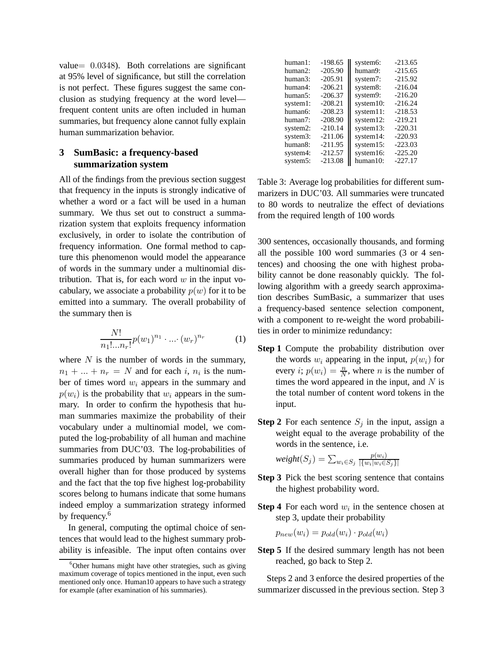value= 0.0348). Both correlations are significant at 95% level of significance, but still the correlation is not perfect. These figures suggest the same conclusion as studying frequency at the word level frequent content units are often included in human summaries, but frequency alone cannot fully explain human summarization behavior.

# **3 SumBasic: a frequency-based summarization system**

All of the findings from the previous section suggest that frequency in the inputs is strongly indicative of whether a word or a fact will be used in a human summary. We thus set out to construct a summarization system that exploits frequency information exclusively, in order to isolate the contribution of frequency information. One formal method to capture this phenomenon would model the appearance of words in the summary under a multinomial distribution. That is, for each word  $w$  in the input vocabulary, we associate a probability  $p(w)$  for it to be emitted into a summary. The overall probability of the summary then is

$$
\frac{N!}{n_1! \dots n_r!} p(w_1)^{n_1} \cdot \dots \cdot (w_r)^{n_r} \tag{1}
$$

where  $N$  is the number of words in the summary,  $n_1 + \ldots + n_r = N$  and for each i,  $n_i$  is the number of times word  $w_i$  appears in the summary and  $p(w_i)$  is the probability that  $w_i$  appears in the summary. In order to confirm the hypothesis that human summaries maximize the probability of their vocabulary under a multinomial model, we computed the log-probability of all human and machine summaries from DUC'03. The log-probabilities of summaries produced by human summarizers were overall higher than for those produced by systems and the fact that the top five highest log-probability scores belong to humans indicate that some humans indeed employ a summarization strategy informed by frequency.<sup>6</sup>

In general, computing the optimal choice of sentences that would lead to the highest summary probability is infeasible. The input often contains over

| human1:  | $-198.65$ | system6:  | $-213.65$ |
|----------|-----------|-----------|-----------|
| human2:  | $-205.90$ | human9:   | $-215.65$ |
| human3:  | $-205.91$ | system7:  | $-215.92$ |
| human4:  | $-206.21$ | system8:  | $-216.04$ |
| human5:  | $-206.37$ | system9:  | $-216.20$ |
| system1: | $-208.21$ | system10: | $-216.24$ |
| human6:  | $-208.23$ | system11: | $-218.53$ |
| human7:  | $-208.90$ | system12: | $-219.21$ |
| system2: | $-210.14$ | system13: | $-220.31$ |
| system3: | $-211.06$ | system14: | $-220.93$ |
| human8:  | $-211.95$ | system15: | $-223.03$ |
| system4: | $-212.57$ | system16: | $-225.20$ |
| system5: | $-213.08$ | human10:  | $-227.17$ |

Table 3: Average log probabilities for different summarizers in DUC'03. All summaries were truncated to 80 words to neutralize the effect of deviations from the required length of 100 words

300 sentences, occasionally thousands, and forming all the possible 100 word summaries (3 or 4 sentences) and choosing the one with highest probability cannot be done reasonably quickly. The following algorithm with a greedy search approximation describes SumBasic, a summarizer that uses a frequency-based sentence selection component, with a component to re-weight the word probabilities in order to minimize redundancy:

- **Step 1** Compute the probability distribution over the words  $w_i$  appearing in the input,  $p(w_i)$  for every *i*;  $p(w_i) = \frac{n}{N}$ , where *n* is the number of times the word appeared in the input, and  $N$  is the total number of content word tokens in the input.
- **Step 2** For each sentence  $S_i$  in the input, assign a weight equal to the average probability of the words in the sentence, i.e.

$$
weight(S_j) = \sum_{w_i \in S_j} \frac{p(w_i)}{|\{w_i|w_i \in S_j\}|}
$$

- **Step 3** Pick the best scoring sentence that contains the highest probability word.
- **Step 4** For each word  $w_i$  in the sentence chosen at step 3, update their probability

$$
p_{new}(w_i) = p_{old}(w_i) \cdot p_{old}(w_i)
$$

**Step 5** If the desired summary length has not been reached, go back to Step 2.

Steps 2 and 3 enforce the desired properties of the summarizer discussed in the previous section. Step 3

 $6$ Other humans might have other strategies, such as giving maximum coverage of topics mentioned in the input, even such mentioned only once. Human10 appears to have such a strategy for example (after examination of his summaries).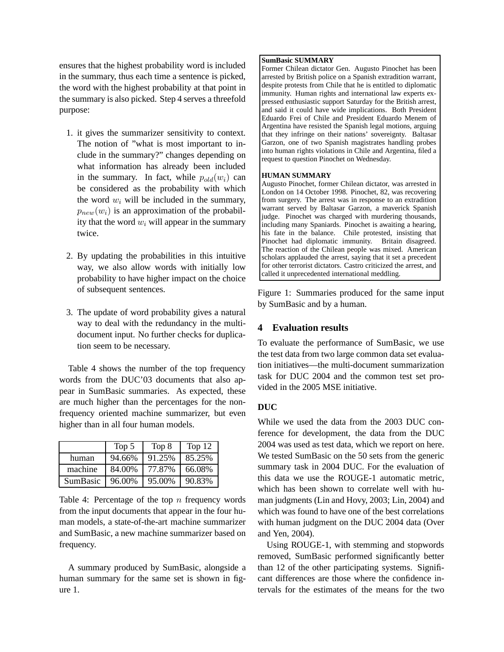ensures that the highest probability word is included in the summary, thus each time a sentence is picked, the word with the highest probability at that point in the summary is also picked. Step 4 serves a threefold purpose:

- 1. it gives the summarizer sensitivity to context. The notion of "what is most important to include in the summary?" changes depending on what information has already been included in the summary. In fact, while  $p_{old}(w_i)$  can be considered as the probability with which the word  $w_i$  will be included in the summary,  $p_{new}(w_i)$  is an approximation of the probability that the word  $w_i$  will appear in the summary twice.
- 2. By updating the probabilities in this intuitive way, we also allow words with initially low probability to have higher impact on the choice of subsequent sentences.
- 3. The update of word probability gives a natural way to deal with the redundancy in the multidocument input. No further checks for duplication seem to be necessary.

Table 4 shows the number of the top frequency words from the DUC'03 documents that also appear in SumBasic summaries. As expected, these are much higher than the percentages for the nonfrequency oriented machine summarizer, but even higher than in all four human models.

|                 | Top 5  | Top 8  | Top $12$ |
|-----------------|--------|--------|----------|
| human           | 94.66% | 91.25% | 85.25%   |
| machine         | 84.00% | 77.87% | 66.08%   |
| <b>SumBasic</b> | 96.00% | 95.00% | 90.83%   |

Table 4: Percentage of the top  $n$  frequency words from the input documents that appear in the four human models, a state-of-the-art machine summarizer and SumBasic, a new machine summarizer based on frequency.

A summary produced by SumBasic, alongside a human summary for the same set is shown in figure 1.

#### **SumBasic SUMMARY**

Former Chilean dictator Gen. Augusto Pinochet has been arrested by British police on a Spanish extradition warrant, despite protests from Chile that he is entitled to diplomatic immunity. Human rights and international law experts expressed enthusiastic support Saturday for the British arrest, and said it could have wide implications. Both President Eduardo Frei of Chile and President Eduardo Menem of Argentina have resisted the Spanish legal motions, arguing that they infringe on their nations' sovereignty. Baltasar Garzon, one of two Spanish magistrates handling probes into human rights violations in Chile and Argentina, filed a request to question Pinochet on Wednesday.

#### **HUMAN SUMMARY**

Augusto Pinochet, former Chilean dictator, was arrested in London on 14 October 1998. Pinochet, 82, was recovering from surgery. The arrest was in response to an extradition warrant served by Baltasar Garzon, a maverick Spanish judge. Pinochet was charged with murdering thousands, including many Spaniards. Pinochet is awaiting a hearing, his fate in the balance. Chile protested, insisting that Pinochet had diplomatic immunity. Britain disagreed. The reaction of the Chilean people was mixed. American scholars applauded the arrest, saying that it set a precedent for other terrorist dictators. Castro criticized the arrest, and called it unprecedented international meddling.

Figure 1: Summaries produced for the same input by SumBasic and by a human.

# **4 Evaluation results**

To evaluate the performance of SumBasic, we use the test data from two large common data set evaluation initiatives—the multi-document summarization task for DUC 2004 and the common test set provided in the 2005 MSE initiative.

# **DUC**

While we used the data from the 2003 DUC conference for development, the data from the DUC 2004 was used as test data, which we report on here. We tested SumBasic on the 50 sets from the generic summary task in 2004 DUC. For the evaluation of this data we use the ROUGE-1 automatic metric, which has been shown to correlate well with human judgments (Lin and Hovy, 2003; Lin, 2004) and which was found to have one of the best correlations with human judgment on the DUC 2004 data (Over and Yen, 2004).

Using ROUGE-1, with stemming and stopwords removed, SumBasic performed significantly better than 12 of the other participating systems. Significant differences are those where the confidence intervals for the estimates of the means for the two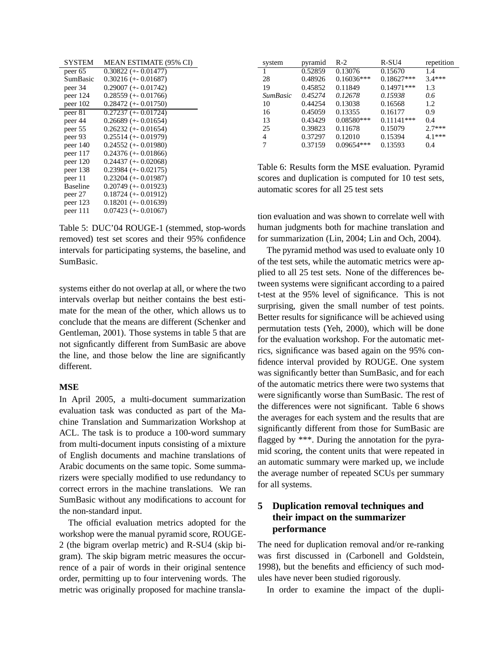| <b>MEAN ESTIMATE (95% CI)</b> |
|-------------------------------|
| $0.30822 (+0.01477)$          |
| $0.30216 (+-0.01687)$         |
| $0.29007$ (+- $0.01742$ )     |
| $0.28559 (+0.01766)$          |
| $0.28472 (+-0.01750)$         |
| $0.27237 (+0.01724)$          |
| $0.26689 (+0.01654)$          |
| $0.26232 (+-0.01654)$         |
| $0.25514 (+0.01979)$          |
| $0.24552 (+0.01980)$          |
| $0.24376 (+0.01866)$          |
| $0.24437 (+0.02068)$          |
| $0.23984 (+0.02175)$          |
| $0.23204 (+0.01987)$          |
| $0.20749 (+0.01923)$          |
| $0.18724 (+0.01912)$          |
| $0.18201 (+0.01639)$          |
| $0.07423 (+-0.01067)$         |
|                               |

Table 5: DUC'04 ROUGE-1 (stemmed, stop-words removed) test set scores and their 95% confidence intervals for participating systems, the baseline, and SumBasic.

systems either do not overlap at all, or where the two intervals overlap but neither contains the best estimate for the mean of the other, which allows us to conclude that the means are different (Schenker and Gentleman, 2001). Those systems in table 5 that are not signficantly different from SumBasic are above the line, and those below the line are significantly different.

### **MSE**

In April 2005, a multi-document summarization evaluation task was conducted as part of the Machine Translation and Summarization Workshop at ACL. The task is to produce a 100-word summary from multi-document inputs consisting of a mixture of English documents and machine translations of Arabic documents on the same topic. Some summarizers were specially modified to use redundancy to correct errors in the machine translations. We ran SumBasic without any modifications to account for the non-standard input.

The official evaluation metrics adopted for the workshop were the manual pyramid score, ROUGE-2 (the bigram overlap metric) and R-SU4 (skip bigram). The skip bigram metric measures the occurrence of a pair of words in their original sentence order, permitting up to four intervening words. The metric was originally proposed for machine transla-

| system          | pyramid | $R-2$        | R-SU4         | repetition |
|-----------------|---------|--------------|---------------|------------|
|                 | 0.52859 | 0.13076      | 0.15670       | 1.4        |
| 28              | 0.48926 | $0.16036***$ | $0.18627***$  | $3.4***$   |
| 19              | 0.45852 | 0.11849      | $0.14971$ *** | 1.3        |
| <b>SumBasic</b> | 0.45274 | 0.12678      | 0.15938       | 0.6        |
| 10              | 0.44254 | 0.13038      | 0.16568       | 1.2.       |
| 16              | 0.45059 | 0.13355      | 0.16177       | 0.9        |
| 13              | 0.43429 | $0.08580***$ | $0.11141***$  | 0.4        |
| 25              | 0.39823 | 0.11678      | 0.15079       | $2.7***$   |
| 4               | 0.37297 | 0.12010      | 0.15394       | $4.1***$   |
| 7               | 0.37159 | $0.09654***$ | 0.13593       | 0.4        |

Table 6: Results form the MSE evaluation. Pyramid scores and duplication is computed for 10 test sets, automatic scores for all 25 test sets

tion evaluation and was shown to correlate well with human judgments both for machine translation and for summarization (Lin, 2004; Lin and Och, 2004).

The pyramid method was used to evaluate only 10 of the test sets, while the automatic metrics were applied to all 25 test sets. None of the differences between systems were significant according to a paired t-test at the 95% level of significance. This is not surprising, given the small number of test points. Better results for significance will be achieved using permutation tests (Yeh, 2000), which will be done for the evaluation workshop. For the automatic metrics, significance was based again on the 95% confidence interval provided by ROUGE. One system was significantly better than SumBasic, and for each of the automatic metrics there were two systems that were significantly worse than SumBasic. The rest of the differences were not significant. Table 6 shows the averages for each system and the results that are significantly different from those for SumBasic are flagged by \*\*\*. During the annotation for the pyramid scoring, the content units that were repeated in an automatic summary were marked up, we include the average number of repeated SCUs per summary for all systems.

# **5 Duplication removal techniques and their impact on the summarizer performance**

The need for duplication removal and/or re-ranking was first discussed in (Carbonell and Goldstein, 1998), but the benefits and efficiency of such modules have never been studied rigorously.

In order to examine the impact of the dupli-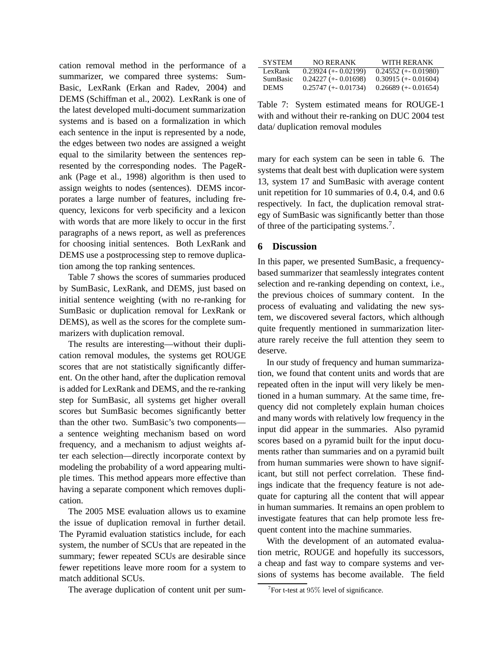cation removal method in the performance of a summarizer, we compared three systems: Sum-Basic, LexRank (Erkan and Radev, 2004) and DEMS (Schiffman et al., 2002). LexRank is one of the latest developed multi-document summarization systems and is based on a formalization in which each sentence in the input is represented by a node, the edges between two nodes are assigned a weight equal to the similarity between the sentences represented by the corresponding nodes. The PageRank (Page et al., 1998) algorithm is then used to assign weights to nodes (sentences). DEMS incorporates a large number of features, including frequency, lexicons for verb specificity and a lexicon with words that are more likely to occur in the first paragraphs of a news report, as well as preferences for choosing initial sentences. Both LexRank and DEMS use a postprocessing step to remove duplication among the top ranking sentences.

Table 7 shows the scores of summaries produced by SumBasic, LexRank, and DEMS, just based on initial sentence weighting (with no re-ranking for SumBasic or duplication removal for LexRank or DEMS), as well as the scores for the complete summarizers with duplication removal.

The results are interesting—without their duplication removal modules, the systems get ROUGE scores that are not statistically significantly different. On the other hand, after the duplication removal is added for LexRank and DEMS, and the re-ranking step for SumBasic, all systems get higher overall scores but SumBasic becomes significantly better than the other two. SumBasic's two components a sentence weighting mechanism based on word frequency, and a mechanism to adjust weights after each selection—directly incorporate context by modeling the probability of a word appearing multiple times. This method appears more effective than having a separate component which removes duplication.

The 2005 MSE evaluation allows us to examine the issue of duplication removal in further detail. The Pyramid evaluation statistics include, for each system, the number of SCUs that are repeated in the summary; fewer repeated SCUs are desirable since fewer repetitions leave more room for a system to match additional SCUs.

The average duplication of content unit per sum-

| <b>SYSTEM</b> | <b>NO RERANK</b>     | WITH RERANK          |
|---------------|----------------------|----------------------|
| LexRank       | $0.23924 (+0.02199)$ | $0.24552 (+0.01980)$ |
| SumBasic      | $0.24227 (+0.01698)$ | $0.30915 (+0.01604)$ |
| <b>DEMS</b>   | $0.25747 (+0.01734)$ | $0.26689 (+0.01654)$ |

Table 7: System estimated means for ROUGE-1 with and without their re-ranking on DUC 2004 test data/ duplication removal modules

mary for each system can be seen in table 6. The systems that dealt best with duplication were system 13, system 17 and SumBasic with average content unit repetition for 10 summaries of 0.4, 0.4, and 0.6 respectively. In fact, the duplication removal strategy of SumBasic was significantly better than those of three of the participating systems.<sup>7</sup>.

### **6 Discussion**

In this paper, we presented SumBasic, a frequencybased summarizer that seamlessly integrates content selection and re-ranking depending on context, i.e., the previous choices of summary content. In the process of evaluating and validating the new system, we discovered several factors, which although quite frequently mentioned in summarization literature rarely receive the full attention they seem to deserve.

In our study of frequency and human summarization, we found that content units and words that are repeated often in the input will very likely be mentioned in a human summary. At the same time, frequency did not completely explain human choices and many words with relatively low frequency in the input did appear in the summaries. Also pyramid scores based on a pyramid built for the input documents rather than summaries and on a pyramid built from human summaries were shown to have significant, but still not perfect correlation. These findings indicate that the frequency feature is not adequate for capturing all the content that will appear in human summaries. It remains an open problem to investigate features that can help promote less frequent content into the machine summaries.

With the development of an automated evaluation metric, ROUGE and hopefully its successors, a cheap and fast way to compare systems and versions of systems has become available. The field

 $7$ For t-test at  $95\%$  level of significance.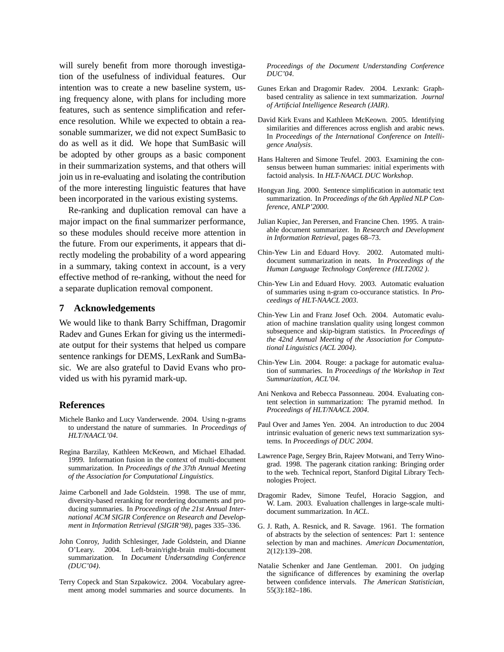will surely benefit from more thorough investigation of the usefulness of individual features. Our intention was to create a new baseline system, using frequency alone, with plans for including more features, such as sentence simplification and reference resolution. While we expected to obtain a reasonable summarizer, we did not expect SumBasic to do as well as it did. We hope that SumBasic will be adopted by other groups as a basic component in their summarization systems, and that others will join us in re-evaluating and isolating the contribution of the more interesting linguistic features that have been incorporated in the various existing systems.

Re-ranking and duplication removal can have a major impact on the final summarizer performance, so these modules should receive more attention in the future. From our experiments, it appears that directly modeling the probability of a word appearing in a summary, taking context in account, is a very effective method of re-ranking, without the need for a separate duplication removal component.

### **7 Acknowledgements**

We would like to thank Barry Schiffman, Dragomir Radev and Gunes Erkan for giving us the intermediate output for their systems that helped us compare sentence rankings for DEMS, LexRank and SumBasic. We are also grateful to David Evans who provided us with his pyramid mark-up.

## **References**

- Michele Banko and Lucy Vanderwende. 2004. Using n-grams to understand the nature of summaries. In *Proceedings of HLT/NAACL'04*.
- Regina Barzilay, Kathleen McKeown, and Michael Elhadad. 1999. Information fusion in the context of multi-document summarization. In *Proceedings of the 37th Annual Meeting of the Association for Computational Linguistics*.
- Jaime Carbonell and Jade Goldstein. 1998. The use of mmr, diversity-based reranking for reordering documents and producing summaries. In *Proceedings of the 21st Annual International ACM SIGIR Conference on Research and Development in Information Retrieval (SIGIR'98)*, pages 335–336.
- John Conroy, Judith Schlesinger, Jade Goldstein, and Dianne O'Leary. 2004. Left-brain/right-brain multi-document summarization. In *Document Undersatnding Conference (DUC'04)*.
- Terry Copeck and Stan Szpakowicz. 2004. Vocabulary agreement among model summaries and source documents. In

*Proceedings of the Document Understanding Conference DUC'04*.

- Gunes Erkan and Dragomir Radev. 2004. Lexrank: Graphbased centrality as salience in text summarization. *Journal of Artificial Intelligence Research (JAIR)*.
- David Kirk Evans and Kathleen McKeown. 2005. Identifying similarities and differences across english and arabic news. In *Proceedings of the International Conference on Intelligence Analysis*.
- Hans Halteren and Simone Teufel. 2003. Examining the consensus between human summaries: initial experiments with factoid analysis. In *HLT-NAACL DUC Workshop*.
- Hongyan Jing. 2000. Sentence simplification in automatic text summarization. In *Proceedings of the 6th Applied NLP Conference, ANLP'2000*.
- Julian Kupiec, Jan Perersen, and Francine Chen. 1995. A trainable document summarizer. In *Research and Development in Information Retrieval*, pages 68–73.
- Chin-Yew Lin and Eduard Hovy. 2002. Automated multidocument summarization in neats. In *Proceedings of the Human Language Technology Conference (HLT2002 )*.
- Chin-Yew Lin and Eduard Hovy. 2003. Automatic evaluation of summaries using n-gram co-occurance statistics. In *Proceedings of HLT-NAACL 2003*.
- Chin-Yew Lin and Franz Josef Och. 2004. Automatic evaluation of machine translation quality using longest common subsequence and skip-bigram statistics. In *Proceedings of the 42nd Annual Meeting of the Association for Computational Linguistics (ACL 2004)*.
- Chin-Yew Lin. 2004. Rouge: a package for automatic evaluation of summaries. In *Proceedings of the Workshop in Text Summarization, ACL'04*.
- Ani Nenkova and Rebecca Passonneau. 2004. Evaluating content selection in summarization: The pyramid method. In *Proceedings of HLT/NAACL 2004*.
- Paul Over and James Yen. 2004. An introduction to duc 2004 intrinsic evaluation of generic news text summarization systems. In *Proceedings of DUC 2004*.
- Lawrence Page, Sergey Brin, Rajeev Motwani, and Terry Winograd. 1998. The pagerank citation ranking: Bringing order to the web. Technical report, Stanford Digital Library Technologies Project.
- Dragomir Radev, Simone Teufel, Horacio Saggion, and W. Lam. 2003. Evaluation challenges in large-scale multidocument summarization. In *ACL*.
- G. J. Rath, A. Resnick, and R. Savage. 1961. The formation of abstracts by the selection of sentences: Part 1: sentence selection by man and machines. *American Documentation*, 2(12):139–208.
- Natalie Schenker and Jane Gentleman. 2001. On judging the significance of differences by examining the overlap between confidence intervals. *The American Statistician*, 55(3):182–186.